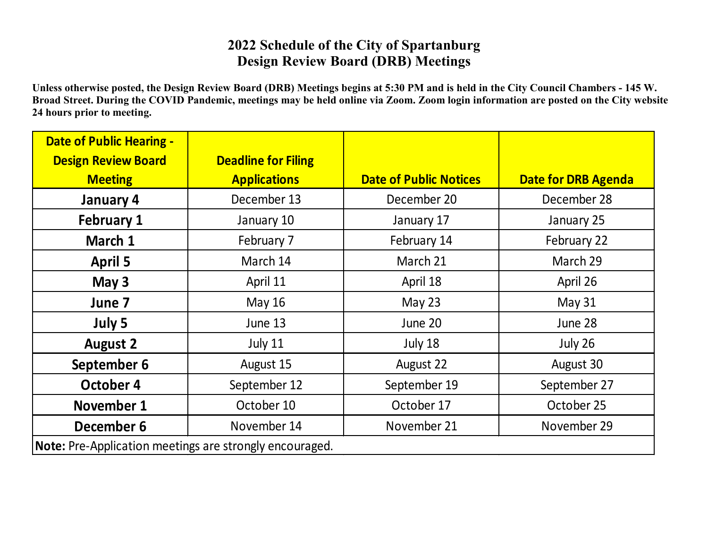## **2022 Schedule of the City of Spartanburg Design Review Board (DRB) Meetings**

**Unless otherwise posted, the Design Review Board (DRB) Meetings begins at 5:30 PM and is held in the City Council Chambers - 145 W. Broad Street. During the COVID Pandemic, meetings may be held online via Zoom. Zoom login information are posted on the City website 24 hours prior to meeting.**

| <b>Date of Public Hearing -</b><br><b>Design Review Board</b><br><b>Meeting</b> | <b>Deadline for Filing</b><br><b>Applications</b> | <b>Date of Public Notices</b> | <b>Date for DRB Agenda</b> |  |
|---------------------------------------------------------------------------------|---------------------------------------------------|-------------------------------|----------------------------|--|
| January 4                                                                       | December 13                                       | December 20                   | December 28                |  |
| <b>February 1</b>                                                               | January 10                                        | January 17                    | January 25                 |  |
| March 1                                                                         | February 7                                        | February 14                   | February 22                |  |
| <b>April 5</b>                                                                  | March 14                                          | March 21                      | March 29                   |  |
| May 3                                                                           | April 11                                          | April 18                      | April 26                   |  |
| June 7                                                                          | May 16                                            | May $23$                      | <b>May 31</b>              |  |
| July 5                                                                          | June 13                                           | June 20                       | June 28                    |  |
| <b>August 2</b>                                                                 | July 11                                           | July 18                       | July 26                    |  |
| September 6                                                                     | August 15                                         | August 22                     | August 30                  |  |
| October 4                                                                       | September 12                                      | September 19                  | September 27               |  |
| November 1                                                                      | October 10                                        | October 17                    | October 25                 |  |
| December 6                                                                      | November 14                                       | November 21                   | November 29                |  |
| Note: Pre-Application meetings are strongly encouraged.                         |                                                   |                               |                            |  |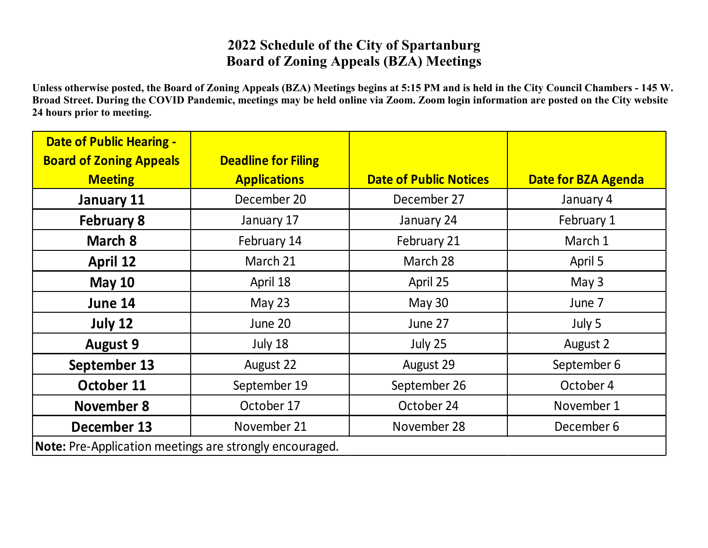## **2022 Schedule of the City of Spartanburg Board of Zoning Appeals (BZA) Meetings**

**Unless otherwise posted, the Board of Zoning Appeals (BZA) Meetings begins at 5:15 PM and is held in the City Council Chambers - 145 W. Broad Street. During the COVID Pandemic, meetings may be held online via Zoom. Zoom login information are posted on the City website 24 hours prior to meeting.**

| <b>Date of Public Hearing -</b><br><b>Board of Zoning Appeals</b> | <b>Deadline for Filing</b> |                               |                            |  |
|-------------------------------------------------------------------|----------------------------|-------------------------------|----------------------------|--|
| <b>Meeting</b>                                                    | <b>Applications</b>        | <b>Date of Public Notices</b> | <b>Date for BZA Agenda</b> |  |
| January 11                                                        | December 20                | December 27                   | January 4                  |  |
| <b>February 8</b>                                                 | January 17                 | January 24                    | February 1                 |  |
| March 8                                                           | February 14                | February 21                   | March 1                    |  |
| <b>April 12</b>                                                   | March 21                   | March 28                      | April 5                    |  |
| <b>May 10</b>                                                     | April 18                   | April 25                      | May 3                      |  |
| June 14                                                           | May 23                     | <b>May 30</b>                 | June 7                     |  |
| July 12                                                           | June 20                    | June 27                       | July 5                     |  |
| <b>August 9</b>                                                   | July 18                    | July 25                       | August 2                   |  |
| September 13                                                      | August 22                  | August 29                     | September 6                |  |
| October 11                                                        | September 19               | September 26                  | October 4                  |  |
| November 8                                                        | October 17                 | October 24                    | November 1                 |  |
| December 13                                                       | November 21                | November 28                   | December 6                 |  |
| <b>Note:</b> Pre-Application meetings are strongly encouraged.    |                            |                               |                            |  |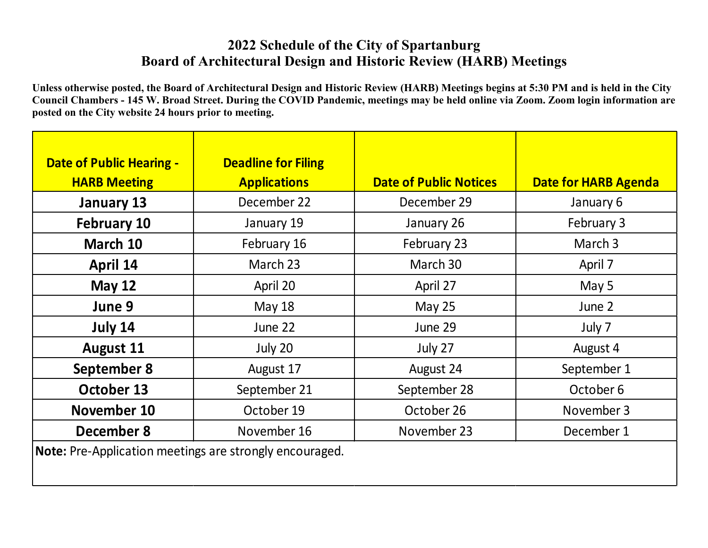## **2022 Schedule of the City of Spartanburg Board of Architectural Design and Historic Review (HARB) Meetings**

**Unless otherwise posted, the Board of Architectural Design and Historic Review (HARB) Meetings begins at 5:30 PM and is held in the City Council Chambers - 145 W. Broad Street. During the COVID Pandemic, meetings may be held online via Zoom. Zoom login information are posted on the City website 24 hours prior to meeting.**

| <b>Date of Public Hearing -</b><br><b>HARB Meeting</b>         | <b>Deadline for Filing</b><br><b>Applications</b> | <b>Date of Public Notices</b> | <b>Date for HARB Agenda</b> |  |
|----------------------------------------------------------------|---------------------------------------------------|-------------------------------|-----------------------------|--|
| January 13                                                     | December 22                                       | December 29                   | January 6                   |  |
| <b>February 10</b>                                             | January 19                                        | January 26                    | February 3                  |  |
| March 10                                                       | February 16                                       | February 23                   | March 3                     |  |
| April 14                                                       | March 23                                          | March 30                      | April 7                     |  |
| <b>May 12</b>                                                  | April 20                                          | April 27                      | May 5                       |  |
| June 9                                                         | <b>May 18</b>                                     | <b>May 25</b>                 | June 2                      |  |
| July 14                                                        | June 22                                           | June 29                       | July 7                      |  |
| <b>August 11</b>                                               | July 20                                           | July 27                       | August 4                    |  |
| September 8                                                    | August 17                                         | August 24                     | September 1                 |  |
| October 13                                                     | September 21                                      | September 28                  | October 6                   |  |
| November 10                                                    | October 19                                        | October 26                    | November 3                  |  |
| December 8                                                     | November 16                                       | November 23                   | December 1                  |  |
| <b>Note:</b> Pre-Application meetings are strongly encouraged. |                                                   |                               |                             |  |